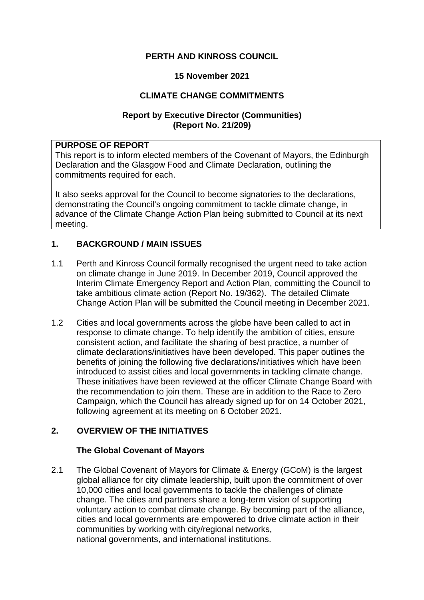# **PERTH AND KINROSS COUNCIL**

### **15 November 2021**

# **CLIMATE CHANGE COMMITMENTS**

# **Report by Executive Director (Communities) (Report No. 21/209)**

## **PURPOSE OF REPORT**

This report is to inform elected members of the Covenant of Mayors, the Edinburgh Declaration and the Glasgow Food and Climate Declaration, outlining the commitments required for each.

It also seeks approval for the Council to become signatories to the declarations, demonstrating the Council's ongoing commitment to tackle climate change, in advance of the Climate Change Action Plan being submitted to Council at its next meeting.

# **1. BACKGROUND / MAIN ISSUES**

- 1.1 Perth and Kinross Council formally recognised the urgent need to take action on climate change in June 2019. In December 2019, Council approved the Interim Climate Emergency Report and Action Plan, committing the Council to take ambitious climate action (Report No. 19/362). The detailed Climate Change Action Plan will be submitted the Council meeting in December 2021.
- 1.2 Cities and local governments across the globe have been called to act in response to climate change. To help identify the ambition of cities, ensure consistent action, and facilitate the sharing of best practice, a number of climate declarations/initiatives have been developed. This paper outlines the benefits of joining the following five declarations/initiatives which have been introduced to assist cities and local governments in tackling climate change. These initiatives have been reviewed at the officer Climate Change Board with the recommendation to join them. These are in addition to the Race to Zero Campaign, which the Council has already signed up for on 14 October 2021, following agreement at its meeting on 6 October 2021.

# **2. OVERVIEW OF THE INITIATIVES**

#### **The Global Covenant of Mayors**

2.1 The Global Covenant of Mayors for Climate & Energy (GCoM) is the largest global alliance for city climate leadership, built upon the commitment of over 10,000 cities and local governments to tackle the challenges of climate change. The cities and partners share a long-term vision of supporting voluntary action to combat climate change. By becoming part of the alliance, cities and local governments are empowered to drive climate action in their communities by working with city/regional networks, national governments, and international institutions.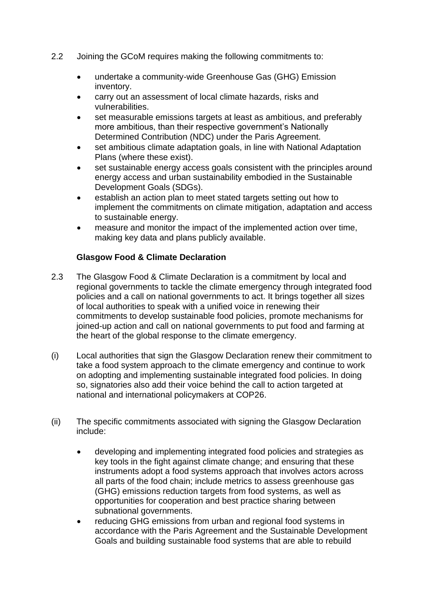- 2.2 Joining the GCoM requires making the following commitments to:
	- undertake a community-wide Greenhouse Gas (GHG) Emission inventory.
	- carry out an assessment of local climate hazards, risks and vulnerabilities.
	- set measurable emissions targets at least as ambitious, and preferably more ambitious, than their respective government's Nationally Determined Contribution (NDC) under the Paris Agreement.
	- set ambitious climate adaptation goals, in line with National Adaptation Plans (where these exist).
	- set sustainable energy access goals consistent with the principles around energy access and urban sustainability embodied in the Sustainable Development Goals (SDGs).
	- establish an action plan to meet stated targets setting out how to implement the commitments on climate mitigation, adaptation and access to sustainable energy.
	- measure and monitor the impact of the implemented action over time, making key data and plans publicly available.

# **Glasgow Food & Climate Declaration**

- 2.3 The Glasgow Food & Climate Declaration is a commitment by local and regional governments to tackle the climate emergency through integrated food policies and a call on national governments to act. It brings together all sizes of local authorities to speak with a unified voice in renewing their commitments to develop sustainable food policies, promote mechanisms for joined-up action and call on national governments to put food and farming at the heart of the global response to the climate emergency.
- (i) Local authorities that sign the Glasgow Declaration renew their commitment to take a food system approach to the climate emergency and continue to work on adopting and implementing sustainable integrated food policies. In doing so, signatories also add their voice behind the call to action targeted at national and international policymakers at COP26.
- (ii) The specific commitments associated with signing the Glasgow Declaration include:
	- developing and implementing integrated food policies and strategies as key tools in the fight against climate change; and ensuring that these instruments adopt a food systems approach that involves actors across all parts of the food chain; include metrics to assess greenhouse gas (GHG) emissions reduction targets from food systems, as well as opportunities for cooperation and best practice sharing between subnational governments.
	- reducing GHG emissions from urban and regional food systems in accordance with the Paris Agreement and the Sustainable Development Goals and building sustainable food systems that are able to rebuild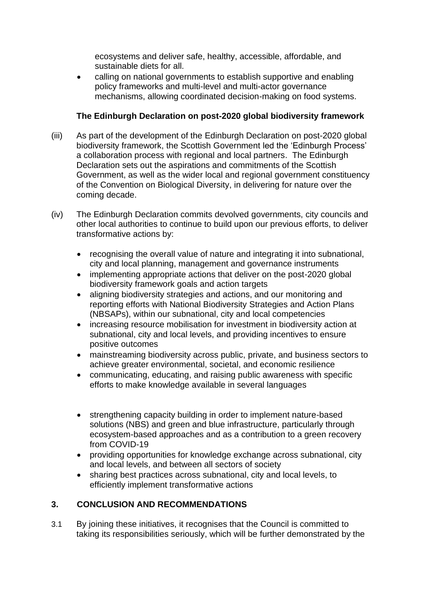ecosystems and deliver safe, healthy, accessible, affordable, and sustainable diets for all.

• calling on national governments to establish supportive and enabling policy frameworks and multi-level and multi-actor governance mechanisms, allowing coordinated decision-making on food systems.

# **The Edinburgh Declaration on post-2020 global biodiversity framework**

- (iii) As part of the development of the Edinburgh Declaration on post-2020 global biodiversity framework, the Scottish Government led the 'Edinburgh Process' a collaboration process with regional and local partners. The Edinburgh Declaration sets out the aspirations and commitments of the Scottish Government, as well as the wider local and regional government constituency of the Convention on Biological Diversity, in delivering for nature over the coming decade.
- (iv) The Edinburgh Declaration commits devolved governments, city councils and other local authorities to continue to build upon our previous efforts, to deliver transformative actions by:
	- recognising the overall value of nature and integrating it into subnational, city and local planning, management and governance instruments
	- implementing appropriate actions that deliver on the post-2020 global biodiversity framework goals and action targets
	- aligning biodiversity strategies and actions, and our monitoring and reporting efforts with National Biodiversity Strategies and Action Plans (NBSAPs), within our subnational, city and local competencies
	- increasing resource mobilisation for investment in biodiversity action at subnational, city and local levels, and providing incentives to ensure positive outcomes
	- mainstreaming biodiversity across public, private, and business sectors to achieve greater environmental, societal, and economic resilience
	- communicating, educating, and raising public awareness with specific efforts to make knowledge available in several languages
	- strengthening capacity building in order to implement nature-based solutions (NBS) and green and blue infrastructure, particularly through ecosystem-based approaches and as a contribution to a green recovery from COVID-19
	- providing opportunities for knowledge exchange across subnational, city and local levels, and between all sectors of society
	- sharing best practices across subnational, city and local levels, to efficiently implement transformative actions

# **3. CONCLUSION AND RECOMMENDATIONS**

3.1 By joining these initiatives, it recognises that the Council is committed to taking its responsibilities seriously, which will be further demonstrated by the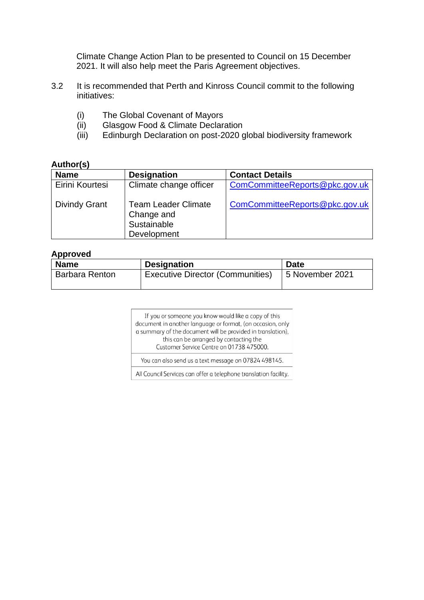Climate Change Action Plan to be presented to Council on 15 December 2021. It will also help meet the Paris Agreement objectives.

- 3.2 It is recommended that Perth and Kinross Council commit to the following initiatives:
	- (i) The Global Covenant of Mayors
	- (ii) Glasgow Food & Climate Declaration
	- (iii) Edinburgh Declaration on post-2020 global biodiversity framework

#### **Author(s)**

| <b>Name</b>          | <b>Designation</b>                                                     | <b>Contact Details</b>         |
|----------------------|------------------------------------------------------------------------|--------------------------------|
| Eirini Kourtesi      | Climate change officer                                                 | ComCommitteeReports@pkc.gov.uk |
| <b>Divindy Grant</b> | <b>Team Leader Climate</b><br>Change and<br>Sustainable<br>Development | ComCommitteeReports@pkc.gov.uk |

#### **Approved**

| <b>Name</b>           | <b>Designation</b>                      | <b>Date</b>     |
|-----------------------|-----------------------------------------|-----------------|
| <b>Barbara Renton</b> | <b>Executive Director (Communities)</b> | 5 November 2021 |

If you or someone you know would like a copy of this document in another language or format, (on occasion, only a summary of the document will be provided in translation), this can be arranged by contacting the Customer Service Centre on 01738 475000.

You can also send us a text message on 07824 498145.

All Council Services can offer a telephone translation facility.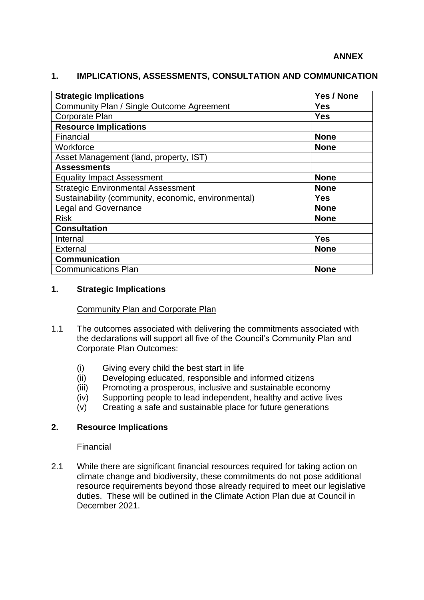# **1. IMPLICATIONS, ASSESSMENTS, CONSULTATION AND COMMUNICATION**

| <b>Strategic Implications</b>                       | Yes / None  |
|-----------------------------------------------------|-------------|
| Community Plan / Single Outcome Agreement           | <b>Yes</b>  |
| Corporate Plan                                      | <b>Yes</b>  |
| <b>Resource Implications</b>                        |             |
| Financial                                           | <b>None</b> |
| Workforce                                           | <b>None</b> |
| Asset Management (land, property, IST)              |             |
| <b>Assessments</b>                                  |             |
| <b>Equality Impact Assessment</b>                   | <b>None</b> |
| <b>Strategic Environmental Assessment</b>           | <b>None</b> |
| Sustainability (community, economic, environmental) | <b>Yes</b>  |
| <b>Legal and Governance</b>                         | <b>None</b> |
| <b>Risk</b>                                         | <b>None</b> |
| <b>Consultation</b>                                 |             |
| Internal                                            | <b>Yes</b>  |
| External                                            | <b>None</b> |
| <b>Communication</b>                                |             |
| <b>Communications Plan</b>                          | <b>None</b> |

#### **1. Strategic Implications**

#### Community Plan and Corporate Plan

- 1.1 The outcomes associated with delivering the commitments associated with the declarations will support all five of the Council's Community Plan and Corporate Plan Outcomes:
	- (i) Giving every child the best start in life
	- (ii) Developing educated, responsible and informed citizens
	- (iii) Promoting a prosperous, inclusive and sustainable economy
	- (iv) Supporting people to lead independent, healthy and active lives
	- (v) Creating a safe and sustainable place for future generations

#### **2. Resource Implications**

#### Financial

2.1 While there are significant financial resources required for taking action on climate change and biodiversity, these commitments do not pose additional resource requirements beyond those already required to meet our legislative duties. These will be outlined in the Climate Action Plan due at Council in December 2021.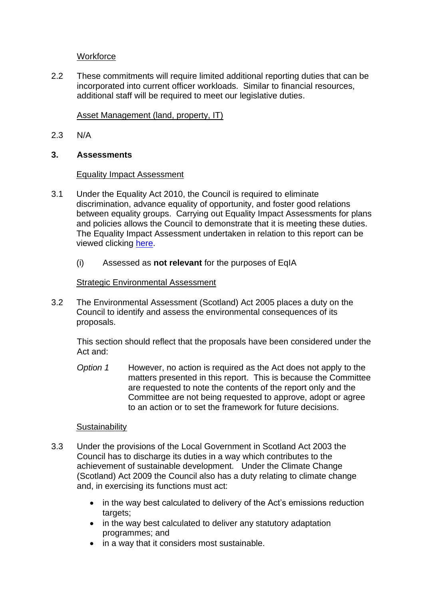# **Workforce**

2.2 These commitments will require limited additional reporting duties that can be incorporated into current officer workloads. Similar to financial resources, additional staff will be required to meet our legislative duties.

# Asset Management (land, property, IT)

2.3 N/A

### **3. Assessments**

#### Equality Impact Assessment

- 3.1 Under the Equality Act 2010, the Council is required to eliminate discrimination, advance equality of opportunity, and foster good relations between equality groups. Carrying out Equality Impact Assessments for plans and policies allows the Council to demonstrate that it is meeting these duties. The Equality Impact Assessment undertaken in relation to this report can be viewed clicking [here.](http://www.pkc.gov.uk/EqIA)
	- (i) Assessed as **not relevant** for the purposes of EqIA

# Strategic Environmental Assessment

3.2 The Environmental Assessment (Scotland) Act 2005 places a duty on the Council to identify and assess the environmental consequences of its proposals.

This section should reflect that the proposals have been considered under the Act and:

*Option 1* However, no action is required as the Act does not apply to the matters presented in this report. This is because the Committee are requested to note the contents of the report only and the Committee are not being requested to approve, adopt or agree to an action or to set the framework for future decisions.

#### **Sustainability**

- 3.3 Under the provisions of the Local Government in Scotland Act 2003 the Council has to discharge its duties in a way which contributes to the achievement of sustainable development. Under the Climate Change (Scotland) Act 2009 the Council also has a duty relating to climate change and, in exercising its functions must act:
	- in the way best calculated to delivery of the Act's emissions reduction targets;
	- in the way best calculated to deliver any statutory adaptation programmes; and
	- in a way that it considers most sustainable.